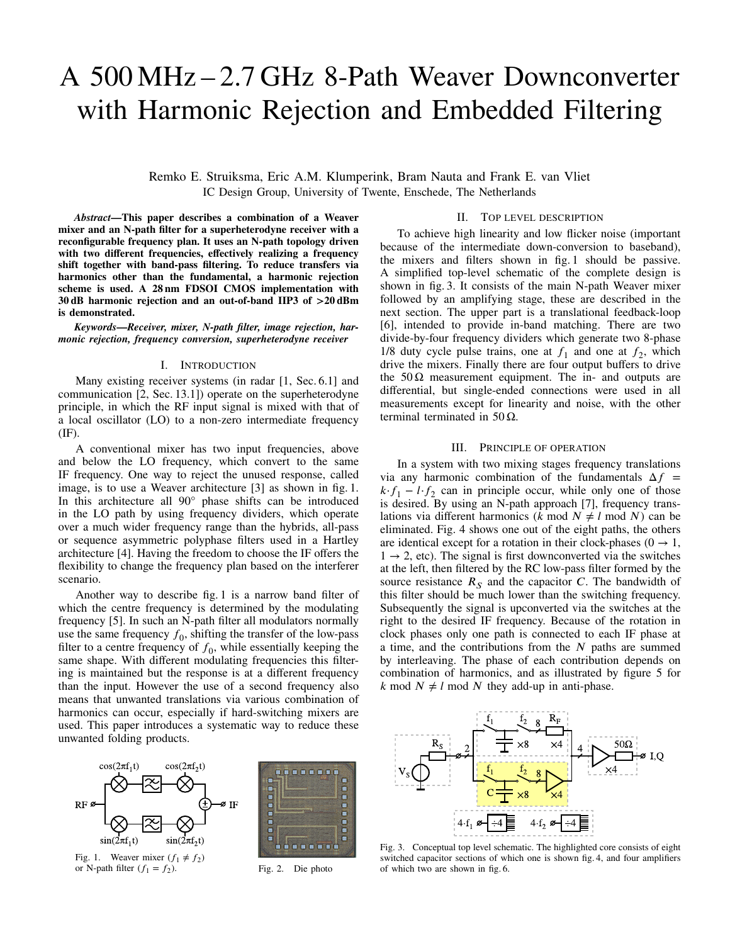# A 500 MHz – 2.7 GHz 8-Path Weaver Downconverter with Harmonic Rejection and Embedded Filtering

Remko E. Struiksma, Eric A.M. Klumperink, Bram Nauta and Frank E. van Vliet IC Design Group, University of Twente, Enschede, The Netherlands

*Abstract***—This paper describes a combination of a Weaver mixer and an N-path filter for a superheterodyne receiver with a reconfigurable frequency plan. It uses an N-path topology driven with two different frequencies, effectively realizing a frequency shift together with band-pass filtering. To reduce transfers via harmonics other than the fundamental, a harmonic rejection scheme is used. A 28 nm FDSOI CMOS implementation with 30 dB harmonic rejection and an out-of-band IIP3 of >20 dBm is demonstrated.**

*Keywords***—***Receiver, mixer, N-path filter, image rejection, harmonic rejection, frequency conversion, superheterodyne receiver*

## I. INTRODUCTION

Many existing receiver systems (in radar [1, Sec. 6.1] and communication [2, Sec. 13.1]) operate on the superheterodyne principle, in which the RF input signal is mixed with that of a local oscillator (LO) to a non-zero intermediate frequency (IF).

A conventional mixer has two input frequencies, above and below the LO frequency, which convert to the same IF frequency. One way to reject the unused response, called image, is to use a Weaver architecture [3] as shown in fig. 1. In this architecture all 90° phase shifts can be introduced in the LO path by using frequency dividers, which operate over a much wider frequency range than the hybrids, all-pass or sequence asymmetric polyphase filters used in a Hartley architecture [4]. Having the freedom to choose the IF offers the flexibility to change the frequency plan based on the interferer scenario.

Another way to describe fig. 1 is a narrow band filter of which the centre frequency is determined by the modulating frequency [5]. In such an N-path filter all modulators normally use the same frequency  $f_0$ , shifting the transfer of the low-pass filter to a centre frequency of  $f_0$ , while essentially keeping the same shape. With different modulating frequencies this filtering is maintained but the response is at a different frequency than the input. However the use of a second frequency also means that unwanted translations via various combination of harmonics can occur, especially if hard-switching mixers are used. This paper introduces a systematic way to reduce these unwanted folding products.



). Fig. 2. Die photo

## II. TOP LEVEL DESCRIPTION

To achieve high linearity and low flicker noise (important because of the intermediate down-conversion to baseband), the mixers and filters shown in fig. 1 should be passive. A simplified top-level schematic of the complete design is shown in fig. 3. It consists of the main N-path Weaver mixer followed by an amplifying stage, these are described in the next section. The upper part is a translational feedback-loop [6], intended to provide in-band matching. There are two divide-by-four frequency dividers which generate two 8-phase 1/8 duty cycle pulse trains, one at  $f_1$  and one at  $f_2$ , which drive the mixers. Finally there are four output buffers to drive the  $50\Omega$  measurement equipment. The in- and outputs are differential, but single-ended connections were used in all measurements except for linearity and noise, with the other terminal terminated in 50 Ω.

## III. PRINCIPLE OF OPERATION

In a system with two mixing stages frequency translations via any harmonic combination of the fundamentals  $\Delta f$  =  $k \cdot f_1 - l \cdot f_2$  can in principle occur, while only one of those is desired. By using an N-path approach [7], frequency translations via different harmonics ( $k \mod N \neq l \mod N$ ) can be eliminated. Fig. 4 shows one out of the eight paths, the others are identical except for a rotation in their clock-phases ( $0 \rightarrow 1$ ,  $1 \rightarrow 2$ , etc). The signal is first downconverted via the switches at the left, then filtered by the RC low-pass filter formed by the source resistance  $R<sub>S</sub>$  and the capacitor *C*. The bandwidth of this filter should be much lower than the switching frequency. Subsequently the signal is upconverted via the switches at the right to the desired IF frequency. Because of the rotation in clock phases only one path is connected to each IF phase at a time, and the contributions from the *𝑁* paths are summed by interleaving. The phase of each contribution depends on combination of harmonics, and as illustrated by figure 5 for  $k \mod N \neq l \mod N$  they add-up in anti-phase.



Fig. 3. Conceptual top level schematic. The highlighted core consists of eight switched capacitor sections of which one is shown fig. 4, and four amplifiers of which two are shown in fig. 6.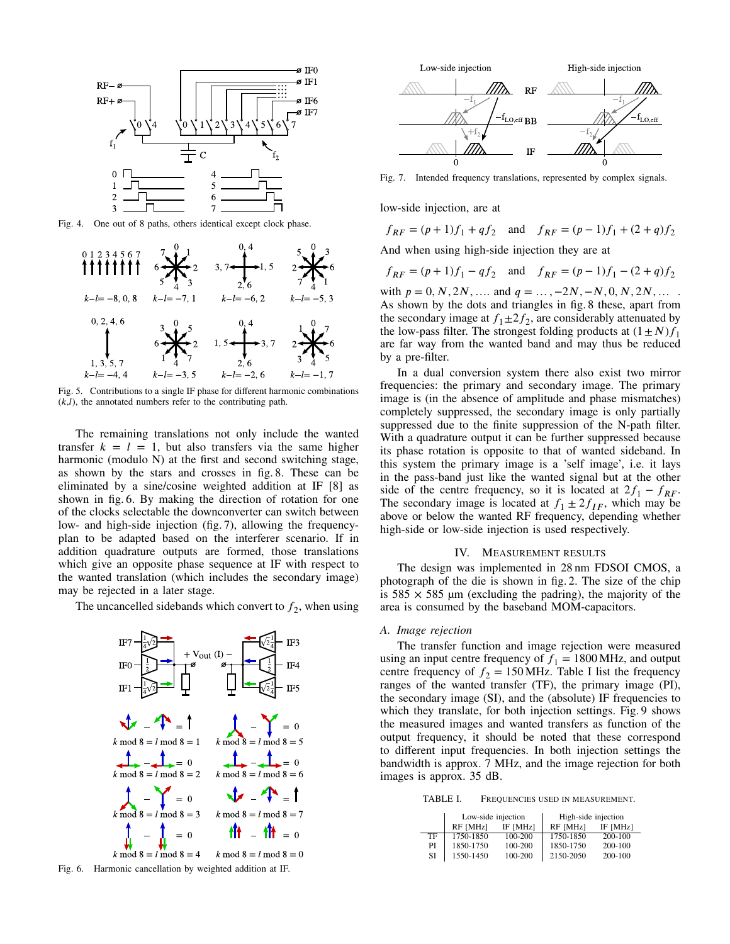

Fig. 4. One out of 8 paths, others identical except clock phase.



Fig. 5. Contributions to a single IF phase for different harmonic combinations  $(k, l)$ , the annotated numbers refer to the contributing path.

The remaining translations not only include the wanted transfer  $k = l = 1$ , but also transfers via the same higher harmonic (modulo N) at the first and second switching stage, as shown by the stars and crosses in fig. 8. These can be eliminated by a sine/cosine weighted addition at IF [8] as shown in fig. 6. By making the direction of rotation for one of the clocks selectable the downconverter can switch between low- and high-side injection (fig. 7), allowing the frequencyplan to be adapted based on the interferer scenario. If in addition quadrature outputs are formed, those translations which give an opposite phase sequence at IF with respect to the wanted translation (which includes the secondary image) may be rejected in a later stage.

The uncancelled sidebands which convert to  $f_2$ , when using







Fig. 7. Intended frequency translations, represented by complex signals.

low-side injection, are at

$$
f_{RF} = (p+1)f_1 + qf_2
$$
 and  $f_{RF} = (p-1)f_1 + (2+q)f_2$ 

And when using high-side injection they are at

$$
f_{RF} = (p+1)f_1 - qf_2
$$
 and  $f_{RF} = (p-1)f_1 - (2+q)f_2$ 

with  $p = 0, N, 2N, \ldots$  and  $q = \ldots, -2N, -N, 0, N, 2N, \ldots$ As shown by the dots and triangles in fig. 8 these, apart from the secondary image at  $f_1 \pm 2f_2$ , are considerably attenuated by the low-pass filter. The strongest folding products at  $(1 \pm N) f_1$ are far way from the wanted band and may thus be reduced by a pre-filter.

In a dual conversion system there also exist two mirror frequencies: the primary and secondary image. The primary image is (in the absence of amplitude and phase mismatches) completely suppressed, the secondary image is only partially suppressed due to the finite suppression of the N-path filter. With a quadrature output it can be further suppressed because its phase rotation is opposite to that of wanted sideband. In this system the primary image is a 'self image', i.e. it lays in the pass-band just like the wanted signal but at the other side of the centre frequency, so it is located at  $2f_1 - f_{RF}$ . The secondary image is located at  $f_1 \pm 2f_{IF}$ , which may be above or below the wanted RF frequency, depending whether high-side or low-side injection is used respectively.

### IV. MEASUREMENT RESULTS

The design was implemented in 28 nm FDSOI CMOS, a photograph of the die is shown in fig. 2. The size of the chip is  $585 \times 585$  µm (excluding the padring), the majority of the area is consumed by the baseband MOM-capacitors.

#### *A. Image rejection*

The transfer function and image rejection were measured using an input centre frequency of  $f_1 = 1800 \text{ MHz}$ , and output centre frequency of  $f_2 = 150 \text{ MHz}$ . Table I list the frequency ranges of the wanted transfer (TF), the primary image (PI), the secondary image (SI), and the (absolute) IF frequencies to which they translate, for both injection settings. Fig. 9 shows the measured images and wanted transfers as function of the output frequency, it should be noted that these correspond to different input frequencies. In both injection settings the bandwidth is approx. 7 MHz, and the image rejection for both images is approx. 35 dB.

TABLE I. FREQUENCIES USED IN MEASUREMENT.

|    | Low-side injection |          | High-side injection |          |
|----|--------------------|----------|---------------------|----------|
|    | RF [MHz]           | IF [MHz] | <b>RF</b> [MHz]     | IF [MHz] |
| TF | 1750-1850          | 100-200  | 1750-1850           | 200-100  |
| PI | 1850-1750          | 100-200  | 1850-1750           | 200-100  |
| SI | 1550-1450          | 100-200  | 2150-2050           | 200-100  |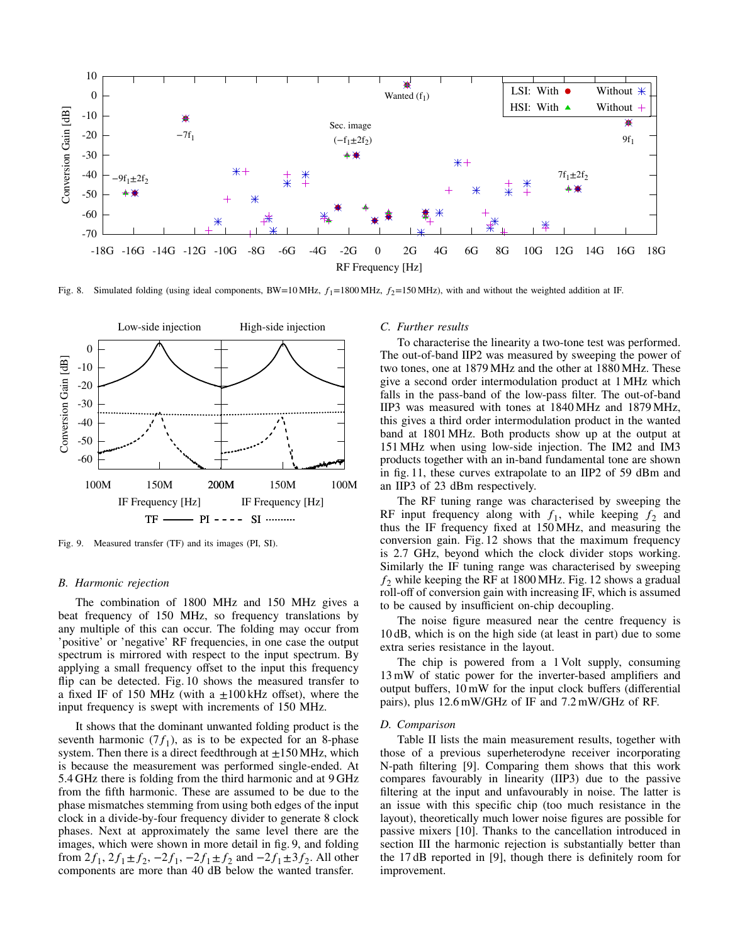

Fig. 8. Simulated folding (using ideal components, BW=10 MHz,  $f_1$ =1800 MHz,  $f_2$ =150 MHz), with and without the weighted addition at IF.



Fig. 9. Measured transfer (TF) and its images (PI, SI).

#### *B. Harmonic rejection*

The combination of 1800 MHz and 150 MHz gives a beat frequency of 150 MHz, so frequency translations by any multiple of this can occur. The folding may occur from 'positive' or 'negative' RF frequencies, in one case the output spectrum is mirrored with respect to the input spectrum. By applying a small frequency offset to the input this frequency flip can be detected. Fig. 10 shows the measured transfer to a fixed IF of 150 MHz (with a  $\pm 100$  kHz offset), where the input frequency is swept with increments of 150 MHz.

It shows that the dominant unwanted folding product is the seventh harmonic  $(7f_1)$ , as is to be expected for an 8-phase system. Then there is a direct feedthrough at  $\pm 150$  MHz, which is because the measurement was performed single-ended. At 5.4 GHz there is folding from the third harmonic and at 9 GHz from the fifth harmonic. These are assumed to be due to the phase mismatches stemming from using both edges of the input clock in a divide-by-four frequency divider to generate 8 clock phases. Next at approximately the same level there are the images, which were shown in more detail in fig. 9, and folding from  $2f_1$ ,  $2f_1 \pm f_2$ ,  $-2f_1$ ,  $-2f_1 \pm f_2$  and  $-2f_1 \pm 3f_2$ . All other components are more than 40 dB below the wanted transfer.

## *C. Further results*

To characterise the linearity a two-tone test was performed. The out-of-band IIP2 was measured by sweeping the power of two tones, one at 1879 MHz and the other at 1880 MHz. These give a second order intermodulation product at 1 MHz which falls in the pass-band of the low-pass filter. The out-of-band IIP3 was measured with tones at 1840 MHz and 1879 MHz, this gives a third order intermodulation product in the wanted band at 1801 MHz. Both products show up at the output at 151 MHz when using low-side injection. The IM2 and IM3 products together with an in-band fundamental tone are shown in fig. 11, these curves extrapolate to an IIP2 of 59 dBm and an IIP3 of 23 dBm respectively.

The RF tuning range was characterised by sweeping the RF input frequency along with  $f_1$ , while keeping  $f_2$  and thus the IF frequency fixed at 150 MHz, and measuring the conversion gain. Fig. 12 shows that the maximum frequency is 2.7 GHz, beyond which the clock divider stops working. Similarly the IF tuning range was characterised by sweeping  $f_2$  while keeping the RF at 1800 MHz. Fig. 12 shows a gradual roll-off of conversion gain with increasing IF, which is assumed to be caused by insufficient on-chip decoupling.

The noise figure measured near the centre frequency is 10 dB, which is on the high side (at least in part) due to some extra series resistance in the layout.

The chip is powered from a 1 Volt supply, consuming 13 mW of static power for the inverter-based amplifiers and output buffers, 10 mW for the input clock buffers (differential pairs), plus 12.6 mW/GHz of IF and 7.2 mW/GHz of RF.

## *D. Comparison*

Table II lists the main measurement results, together with those of a previous superheterodyne receiver incorporating N-path filtering [9]. Comparing them shows that this work compares favourably in linearity (IIP3) due to the passive filtering at the input and unfavourably in noise. The latter is an issue with this specific chip (too much resistance in the layout), theoretically much lower noise figures are possible for passive mixers [10]. Thanks to the cancellation introduced in section III the harmonic rejection is substantially better than the 17 dB reported in [9], though there is definitely room for improvement.